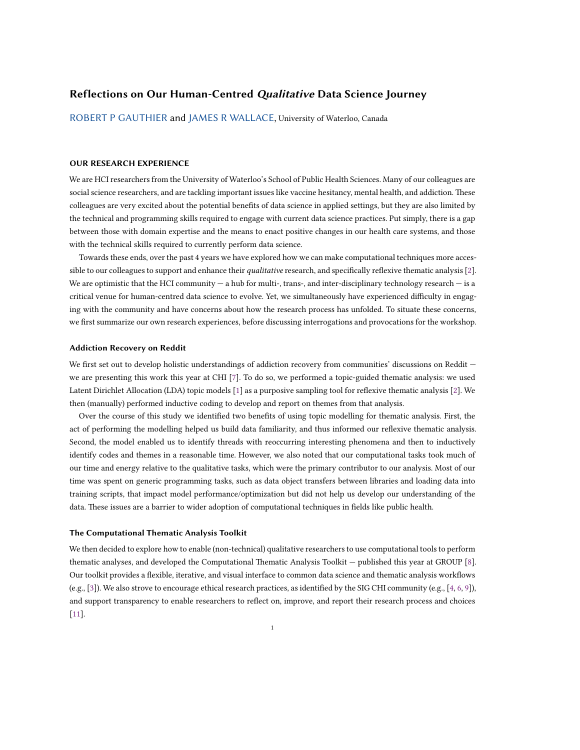# **Reflections on Our Human-Centred** *Qualitative* **Data Science Journey**

[ROBERT P GAUTHIER](HTTPS://ORCID.ORG/0000-0003-4882-8870) and [JAMES R WALLACE](HTTPS://ORCID.ORG/0000-0002-5162-0256), University of Waterloo, Canada

## **OUR RESEARCH EXPERIENCE**

We are HCI researchers from the University of Waterloo's School of Public Health Sciences. Many of our colleagues are social science researchers, and are tackling important issues like vaccine hesitancy, mental health, and addiction. These colleagues are very excited about the potential benefits of data science in applied settings, but they are also limited by the technical and programming skills required to engage with current data science practices. Put simply, there is a gap between those with domain expertise and the means to enact positive changes in our health care systems, and those with the technical skills required to currently perform data science.

Towards these ends, over the past 4 years we have explored how we can make computational techniques more accessible to our colleagues to support and enhance their *qualitative* research, and specifically reflexive thematic analysis[[2](#page-2-0)]. We are optimistic that the HCI community  $-$  a hub for multi-, trans-, and inter-disciplinary technology research  $-$  is a critical venue for human-centred data science to evolve. Yet, we simultaneously have experienced difficulty in engaging with the community and have concerns about how the research process has unfolded. To situate these concerns, we first summarize our own research experiences, before discussing interrogations and provocations for the workshop.

### **Addiction Recovery on Reddit**

We first set out to develop holistic understandings of addiction recovery from communities' discussions on Reddit – we are presenting this work this year at CHI [\[7](#page-2-1)]. To do so, we performed a topic-guided thematic analysis: we used Latent Dirichlet Allocation (LDA) topic models [\[1](#page-2-2)] as a purposive sampling tool for reflexive thematic analysis[[2\]](#page-2-0). We then (manually) performed inductive coding to develop and report on themes from that analysis.

Over the course of this study we identified two benefits of using topic modelling for thematic analysis. First, the act of performing the modelling helped us build data familiarity, and thus informed our reflexive thematic analysis. Second, the model enabled us to identify threads with reoccurring interesting phenomena and then to inductively identify codes and themes in a reasonable time. However, we also noted that our computational tasks took much of our time and energy relative to the qualitative tasks, which were the primary contributor to our analysis. Most of our time was spent on generic programming tasks, such as data object transfers between libraries and loading data into training scripts, that impact model performance/optimization but did not help us develop our understanding of the data. These issues are a barrier to wider adoption of computational techniques in fields like public health.

### **The Computational Thematic Analysis Toolkit**

We then decided to explore how to enable (non-technical) qualitative researchers to use computational tools to perform thematic analyses, and developed the Computational Thematic Analysis Toolkit — published this year at GROUP[[8](#page-2-3)]. Our toolkit provides a flexible, iterative, and visual interface to common data science and thematic analysis workflows (e.g., [\[3](#page-2-4)]). We also strove to encourage ethical research practices, as identified by the SIG CHI community (e.g.,[[4](#page-2-5), [6](#page-2-6), [9\]](#page-2-7)), and support transparency to enable researchers to reflect on, improve, and report their research process and choices [[11\]](#page-2-8).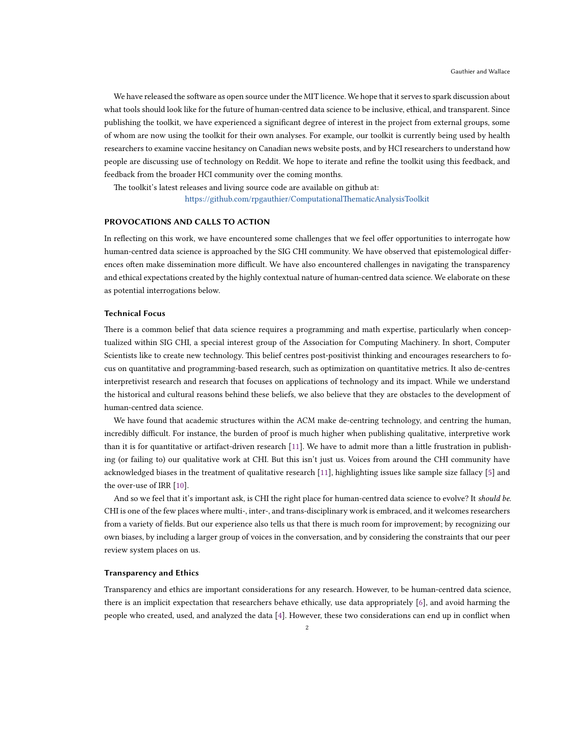We have released the software as open source under the MIT licence. We hope that it serves to spark discussion about what tools should look like for the future of human-centred data science to be inclusive, ethical, and transparent. Since publishing the toolkit, we have experienced a significant degree of interest in the project from external groups, some of whom are now using the toolkit for their own analyses. For example, our toolkit is currently being used by health researchers to examine vaccine hesitancy on Canadian news website posts, and by HCI researchers to understand how people are discussing use of technology on Reddit. We hope to iterate and refine the toolkit using this feedback, and feedback from the broader HCI community over the coming months.

The toolkit's latest releases and living source code are available on github at: <https://github.com/rpgauthier/ComputationalThematicAnalysisToolkit>

### **PROVOCATIONS AND CALLS TO ACTION**

In reflecting on this work, we have encountered some challenges that we feel offer opportunities to interrogate how human-centred data science is approached by the SIG CHI community. We have observed that epistemological differences often make dissemination more difficult. We have also encountered challenges in navigating the transparency and ethical expectations created by the highly contextual nature of human-centred data science. We elaborate on these as potential interrogations below.

## **Technical Focus**

There is a common belief that data science requires a programming and math expertise, particularly when conceptualized within SIG CHI, a special interest group of the Association for Computing Machinery. In short, Computer Scientists like to create new technology. This belief centres post-positivist thinking and encourages researchers to focus on quantitative and programming-based research, such as optimization on quantitative metrics. It also de-centres interpretivist research and research that focuses on applications of technology and its impact. While we understand the historical and cultural reasons behind these beliefs, we also believe that they are obstacles to the development of human-centred data science.

We have found that academic structures within the ACM make de-centring technology, and centring the human, incredibly difficult. For instance, the burden of proof is much higher when publishing qualitative, interpretive work than it is for quantitative or artifact-driven research[[11](#page-2-8)]. We have to admit more than a little frustration in publishing (or failing to) our qualitative work at CHI. But this isn't just us. Voices from around the CHI community have acknowledged biases in the treatment of qualitative research [\[11\]](#page-2-8), highlighting issues like sample size fallacy [\[5\]](#page-2-9) and the over-use of IRR[[10](#page-2-10)].

And so we feel that it's important ask, is CHI the right place for human-centred data science to evolve? It *should be*. CHI is one of the few places where multi-, inter-, and trans-disciplinary work is embraced, and it welcomes researchers from a variety of fields. But our experience also tells us that there is much room for improvement; by recognizing our own biases, by including a larger group of voices in the conversation, and by considering the constraints that our peer review system places on us.

#### **Transparency and Ethics**

Transparency and ethics are important considerations for any research. However, to be human-centred data science, there is an implicit expectation that researchers behave ethically, use data appropriately [\[6](#page-2-6)], and avoid harming the people who created, used, and analyzed the data[[4\]](#page-2-5). However, these two considerations can end up in conflict when